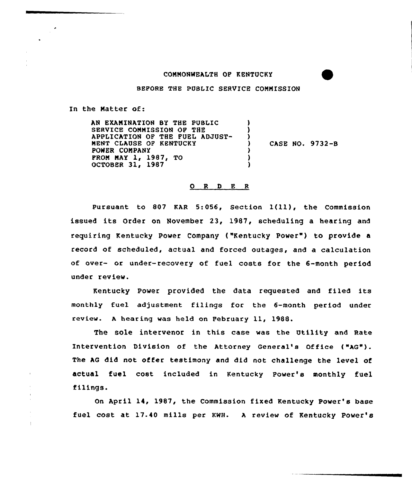## CONNONWEALTH OF KENTUCKY

BEFORE THE PUBLIC SERVICE CONNISSION

In the Matter of:

 $\cdot$ 

AN EXAMINATION BY THE PUBLIC SERVICE COMMISSION OF THE APPLICATION OF THE FUEL ADJUST-MENT CLAUSE OF KENTUCKY POWER COMPANY PRON NAY 1, 1987, TO OCTOBER 31, 1987 ) ) )<br>) ) CASE NO. 9732-B ) ) )

## 0 <sup>R</sup> <sup>D</sup> E <sup>R</sup>

Pursuant to <sup>807</sup> KAR 5:056, Section l(ll), the Commission issued its Order on November 23, 1987, scheduling a hearing and requiring Kentucky Power Company ("Kentucky Power" ) to provide <sup>a</sup> record of scheduled, actual and forced outages, and a calculation of over- or under-recovery of fuel costs for the 6-month period under review.

Kentucky Power provided the data requested and filed its monthly fuel adjustment filings for the 6-month period under review. A hearing was held on February 11, 1988.

The sole intervenor in this case was the Utility and Rate Intervention Division of the Attorney General's Office ("AG"). The AG did not offer testimony and did not challenge the level of actual fuel cost included in Kentucky Power's monthly fuel filings.

On April 14, 1987, the Commission fixed Kentucky Power's base fuel cost at 17.40 mills per KWH. <sup>A</sup> review of Kentucky Power'B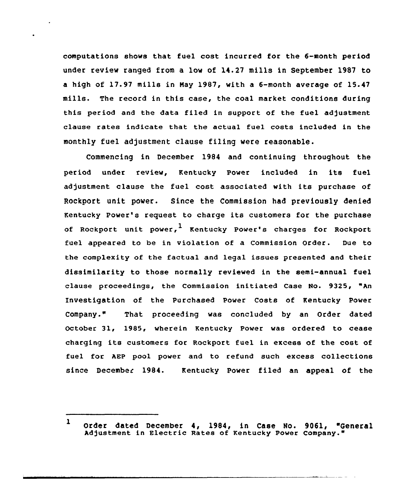compu'tations shows that fuel cost incurred for the 6-month period under review ranged from a low of 14.27 mills in September 1987 to a high of 17.97 mills in Nay 1987, with a 6-month average of 15.47 mills. The record in this case, the coal market conditions during this period and the data filed in support of the fuel adjustment clause rates indicate that the actual fuel costs included in the monthly fuel adjustment clause filing were reasonable.

Commencing in December 1984 and continuing throughout the period under review, Kentucky Power included in its fuel adjustment clause the fuel cost associated with its purchase of Rockport unit power. Since the Commission had previously denied Kentucky Power's request to charge its customers for the purchase of Rockport unit power,  $\frac{1}{k}$  Kentucky Power's charges for Rockport fuel appeared to be in violation of a Commission Order. Due to the complexity of the factual and legal issues presented and their dissimilarity to those normally reviewed in the semi-annual fuel clause proceedings, the Commission initiated Case No. 9325, "An Investigation of the Purchased Power Costs of Kentucky Power Company." That proceeding was concluded by an Order dated October 31, 1985, wherein Kentucky Power was ordered to cease charging its customers for Rockport fuel in excess of the cost of fuel for AEP pool power and to refund such excess collections since December 1984. Kentucky Power filed an appeal of the

 $\mathbf{1}$ Order dated December 4, 1984, in Case No. 9061, "General Adjustment in Electric Rates of Kentucky Power Company."